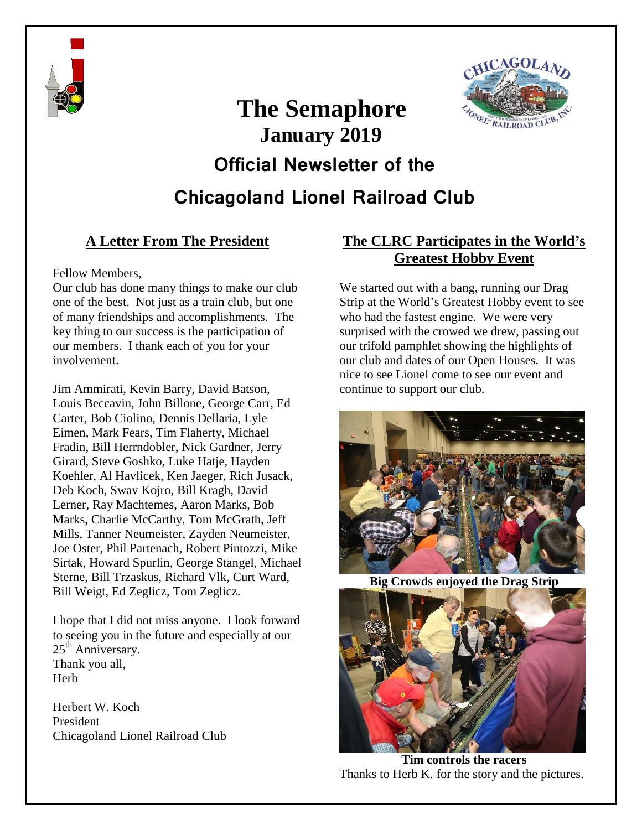



# **The Semaphore January 2019 Official Newsletter of the**

**Chicagoland Lionel Railroad Club**

### **A Letter From The President**

#### Fellow Members,

Our club has done many things to make our club one of the best. Not just as a train club, but one of many friendships and accomplishments. The key thing to our success is the participation of our members. I thank each of you for your involvement.

Jim Ammirati, Kevin Barry, David Batson, Louis Beccavin, John Billone, George Carr, Ed Carter, Bob Ciolino, Dennis Dellaria, Lyle Eimen, Mark Fears, Tim Flaherty, Michael Fradin, Bill Herrndobler, Nick Gardner, Jerry Girard, Steve Goshko, Luke Hatje, Hayden Koehler, Al Havlicek, Ken Jaeger, Rich Jusack, Deb Koch, Swav Kojro, Bill Kragh, David Lerner, Ray Machtemes, Aaron Marks, Bob Marks, Charlie McCarthy, Tom McGrath, Jeff Mills, Tanner Neumeister, Zayden Neumeister, Joe Oster, Phil Partenach, Robert Pintozzi, Mike Sirtak, Howard Spurlin, George Stangel, Michael Sterne, Bill Trzaskus, Richard Vlk, Curt Ward, Bill Weigt, Ed Zeglicz, Tom Zeglicz.

I hope that I did not miss anyone. I look forward to seeing you in the future and especially at our 25<sup>th</sup> Anniversary. Thank you all, **Herb** 

Herbert W. Koch President Chicagoland Lionel Railroad Club

#### **The CLRC Participates in the World's Greatest Hobby Event**

We started out with a bang, running our Drag Strip at the World's Greatest Hobby event to see who had the fastest engine. We were very surprised with the crowed we drew, passing out our trifold pamphlet showing the highlights of our club and dates of our Open Houses. It was nice to see Lionel come to see our event and continue to support our club.



**Big Crowds enjoyed the Drag Strip**



**Tim controls the racers** Thanks to Herb K. for the story and the pictures.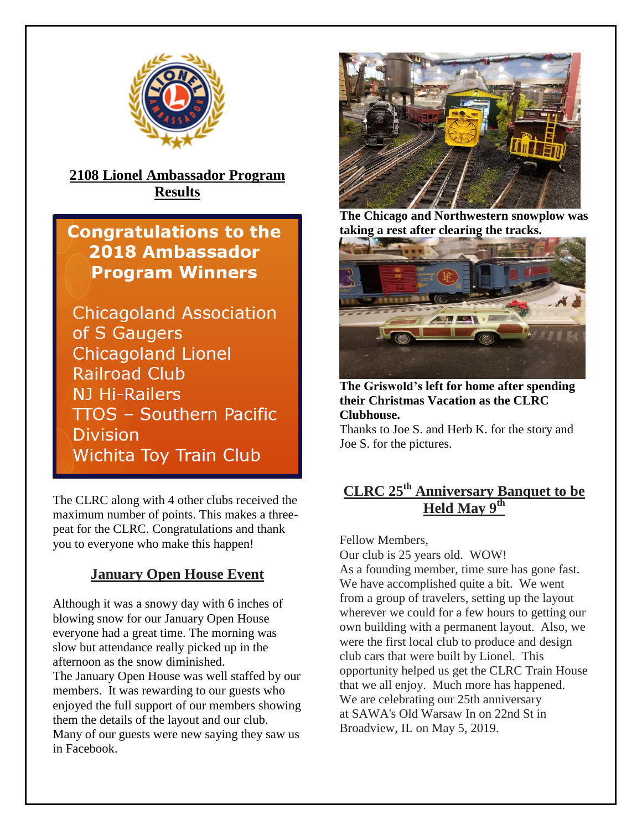

**2108 Lionel Ambassador Program Results**

**Congratulations to the 2018 Ambassador Program Winners** 

**Chicagoland Association** of S Gaugers **Chicagoland Lionel Railroad Club NJ Hi-Railers TTOS - Southern Pacific Division Wichita Toy Train Club** 

The CLRC along with 4 other clubs received the maximum number of points. This makes a threepeat for the CLRC. Congratulations and thank you to everyone who make this happen!

#### **January Open House Event**

Although it was a snowy day with 6 inches of blowing snow for our January Open House everyone had a great time. The morning was slow but attendance really picked up in the afternoon as the snow diminished.

The January Open House was well staffed by our members. It was rewarding to our guests who enjoyed the full support of our members showing them the details of the layout and our club. Many of our guests were new saying they saw us in Facebook.



**The Chicago and Northwestern snowplow was taking a rest after clearing the tracks.** 



**The Griswold's left for home after spending their Christmas Vacation as the CLRC Clubhouse.**  Thanks to Joe S. and Herb K. for the story and

Joe S. for the pictures.

#### **CLRC 25th Anniversary Banquet to be Held May 9th**

Fellow Members, Our club is 25 years old. WOW! As a founding member, time sure has gone fast. We have accomplished quite a bit. We went from a group of travelers, setting up the layout wherever we could for a few hours to getting our own building with a permanent layout. Also, we were the first local club to produce and design club cars that were built by Lionel. This opportunity helped us get the CLRC Train House that we all enjoy. Much more has happened. We are celebrating our 25th anniversary at SAWA's Old Warsaw In on 22nd St in Broadview, IL on May 5, 2019.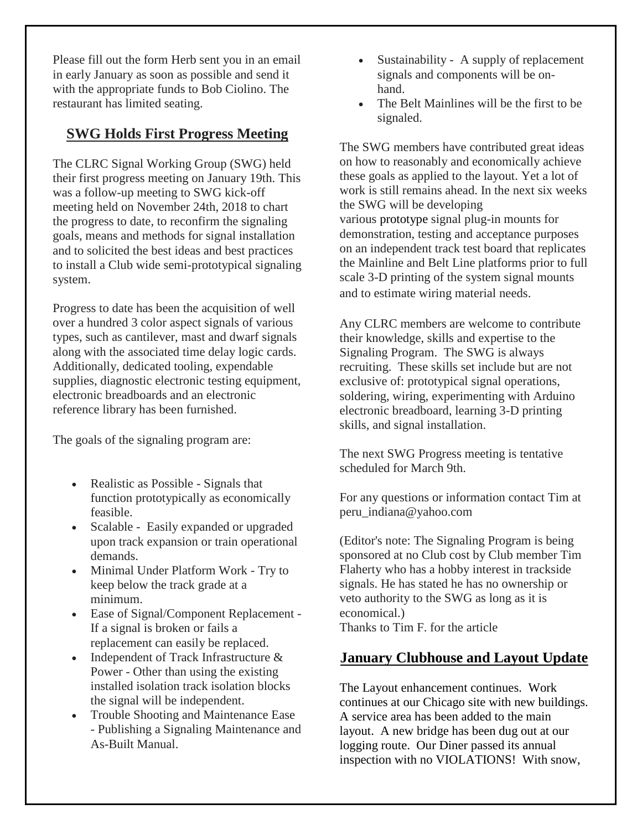Please fill out the form Herb sent you in an email in early January as soon as possible and send it with the appropriate funds to Bob Ciolino. The restaurant has limited seating.

#### **SWG Holds First Progress Meeting**

The CLRC Signal Working Group (SWG) held their first progress meeting on January 19th. This was a follow-up meeting to SWG kick-off meeting held on November 24th, 2018 to chart the progress to date, to reconfirm the signaling goals, means and methods for signal installation and to solicited the best ideas and best practices to install a Club wide semi-prototypical signaling system.

Progress to date has been the acquisition of well over a hundred 3 color aspect signals of various types, such as cantilever, mast and dwarf signals along with the associated time delay logic cards. Additionally, dedicated tooling, expendable supplies, diagnostic electronic testing equipment, electronic breadboards and an electronic reference library has been furnished.

The goals of the signaling program are:

- Realistic as Possible Signals that function prototypically as economically feasible.
- Scalable Easily expanded or upgraded upon track expansion or train operational demands.
- Minimal Under Platform Work Try to keep below the track grade at a minimum.
- Ease of Signal/Component Replacement If a signal is broken or fails a replacement can easily be replaced.
- Independent of Track Infrastructure & Power - Other than using the existing installed isolation track isolation blocks the signal will be independent.
- Trouble Shooting and Maintenance Ease - Publishing a Signaling Maintenance and As-Built Manual.
- Sustainability A supply of replacement signals and components will be onhand.
- The Belt Mainlines will be the first to be signaled.

The SWG members have contributed great ideas on how to reasonably and economically achieve these goals as applied to the layout. Yet a lot of work is still remains ahead. In the next six weeks the SWG will be developing various prototype signal plug-in mounts for demonstration, testing and acceptance purposes on an independent track test board that replicates the Mainline and Belt Line platforms prior to full scale 3-D printing of the system signal mounts and to estimate wiring material needs.

Any CLRC members are welcome to contribute their knowledge, skills and expertise to the Signaling Program. The SWG is always recruiting. These skills set include but are not exclusive of: prototypical signal operations, soldering, wiring, experimenting with Arduino electronic breadboard, learning 3-D printing skills, and signal installation.

The next SWG Progress meeting is tentative scheduled for March 9th.

For any questions or information contact Tim at peru\_indiana@yahoo.com

(Editor's note: The Signaling Program is being sponsored at no Club cost by Club member Tim Flaherty who has a hobby interest in trackside signals. He has stated he has no ownership or veto authority to the SWG as long as it is economical.)

Thanks to Tim F. for the article

#### **January Clubhouse and Layout Update**

The Layout enhancement continues. Work continues at our Chicago site with new buildings. A service area has been added to the main layout. A new bridge has been dug out at our logging route. Our Diner passed its annual inspection with no VIOLATIONS! With snow,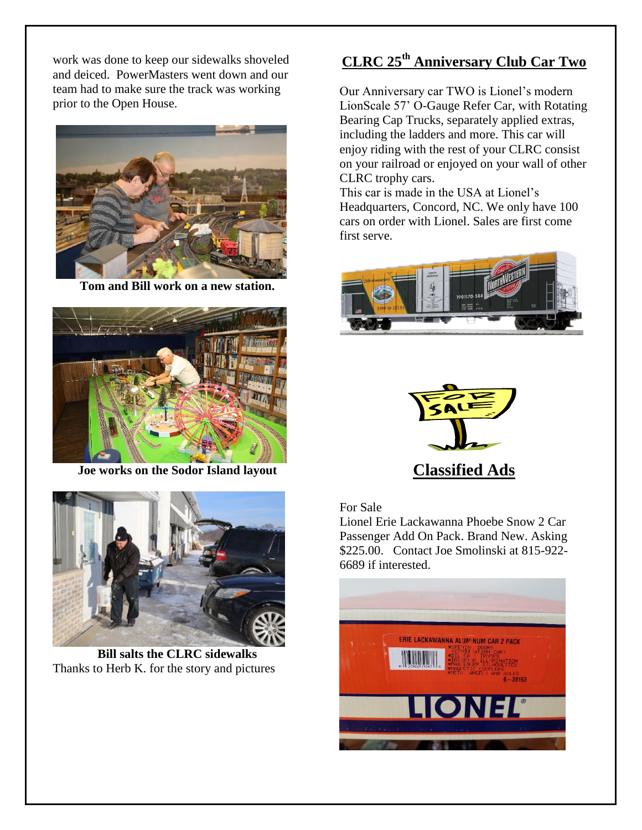work was done to keep our sidewalks shoveled and deiced. PowerMasters went down and our team had to make sure the track was working prior to the Open House.



**Tom and Bill work on a new station.**



**Joe works on the Sodor Island layout**



**Bill salts the CLRC sidewalks** Thanks to Herb K. for the story and pictures

# **CLRC 25th Anniversary Club Car Two**

Our Anniversary car TWO is Lionel's modern LionScale 57' O-Gauge Refer Car, with Rotating Bearing Cap Trucks, separately applied extras, including the ladders and more. This car will enjoy riding with the rest of your CLRC consist on your railroad or enjoyed on your wall of other CLRC trophy cars.

This car is made in the USA at Lionel's Headquarters, Concord, NC. We only have 100 cars on order with Lionel. Sales are first come first serve.





For Sale

Lionel Erie Lackawanna Phoebe Snow 2 Car Passenger Add On Pack. Brand New. Asking \$225.00. Contact Joe Smolinski at 815-922- 6689 if interested.